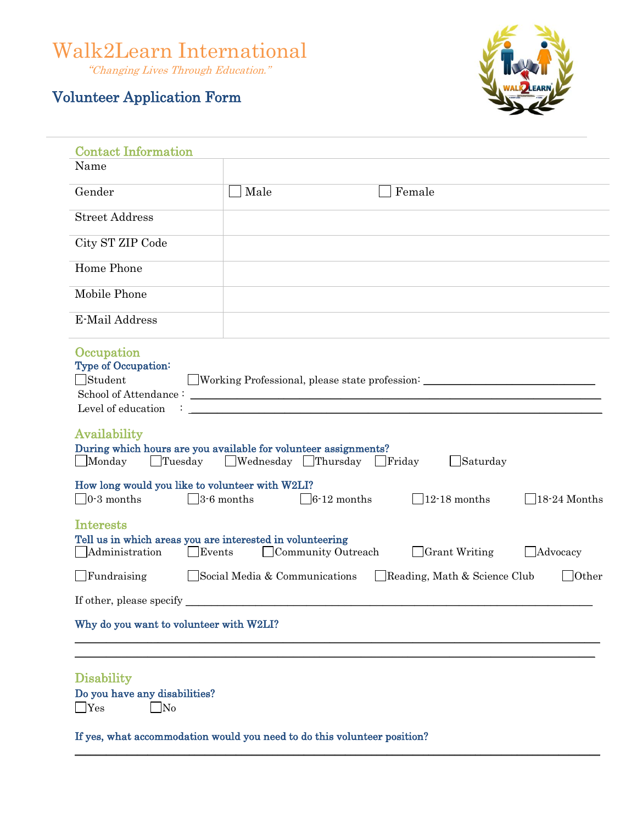Walk2Learn International

"Changing Lives Through Education."

# Volunteer Application Form



| <b>Contact Information</b>                                                                                                                                                                         |                                                |                                                                                                                                                            |                |
|----------------------------------------------------------------------------------------------------------------------------------------------------------------------------------------------------|------------------------------------------------|------------------------------------------------------------------------------------------------------------------------------------------------------------|----------------|
| Name                                                                                                                                                                                               |                                                |                                                                                                                                                            |                |
| Gender                                                                                                                                                                                             | Male                                           | Female                                                                                                                                                     |                |
| <b>Street Address</b>                                                                                                                                                                              |                                                |                                                                                                                                                            |                |
| City ST ZIP Code                                                                                                                                                                                   |                                                |                                                                                                                                                            |                |
| Home Phone                                                                                                                                                                                         |                                                |                                                                                                                                                            |                |
| Mobile Phone                                                                                                                                                                                       |                                                |                                                                                                                                                            |                |
| E-Mail Address                                                                                                                                                                                     |                                                |                                                                                                                                                            |                |
| Occupation<br><b>Type of Occupation:</b><br>$\exists$ Student<br>Level of education<br>Availability<br>During which hours are you available for volunteer assignments?<br>Monday<br>$\Box$ Tuesday | $\Box$ Wednesday $\Box$ Thursday $\Box$ Friday | Working Professional, please state profession: _________________________________<br><u> 1989 - Johann Stein, marwolaethau (b. 1989)</u><br>$\Box$ Saturday |                |
| How long would you like to volunteer with W2LI?<br>$\Box$ 0-3 months                                                                                                                               | $\Box$ 3-6 months<br>$6-12$ months             | $\sqrt{12-18}$ months                                                                                                                                      | $18-24$ Months |
| <b>Interests</b><br>Tell us in which areas you are interested in volunteering<br>Administration<br>Events                                                                                          | Community Outreach                             | $\Box$ Grant Writing                                                                                                                                       | Advocacy       |
| Fundraising                                                                                                                                                                                        | Social Media & Communications                  | Reading, Math & Science Club                                                                                                                               | $\Box$ Other   |
| If other, please specify _                                                                                                                                                                         |                                                |                                                                                                                                                            |                |
| Why do you want to volunteer with W2LI?                                                                                                                                                            |                                                |                                                                                                                                                            |                |
|                                                                                                                                                                                                    |                                                |                                                                                                                                                            |                |
| <b>Disability</b>                                                                                                                                                                                  |                                                |                                                                                                                                                            |                |

\_\_\_\_\_\_\_\_\_\_\_\_\_\_\_\_\_\_\_\_\_\_\_\_\_\_\_\_\_\_\_\_\_\_\_\_\_\_\_\_\_\_\_\_\_\_\_\_\_\_\_\_\_\_\_\_\_\_\_\_\_\_\_\_\_\_\_\_\_\_\_\_\_\_\_\_\_\_\_\_\_\_\_\_\_\_\_\_\_\_\_\_\_\_\_\_\_\_\_\_\_

Do you have any disabilities?  $\Box$ Yes  $\Box$ No

If yes, what accommodation would you need to do this volunteer position?